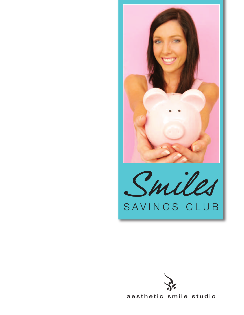

Smiles SAVINGS CLUB



aesthetic smile studio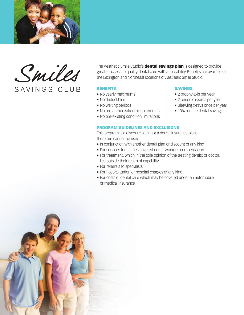

Smiles SAVINGS CLUB

The Aesthetic Smile Studio's **dental savings plan** is designed to provide greater access to quality dental care with affordability. Benefits are available at the Lexington and Northeast locations of Aesthetic Smile Studio.

#### **BENEFITS**

- No yearly maximums
- No deductibles
- No waiting periods
- No pre-authorizations requirements • No pre-existing condition limitations

# **SAVINGS**

- 2 prophylaxis per year
- 2 periodic exams per year
- Bitewing x-rays once per year
- 10% routine dental savings

# **PROGRAM GUIDELINES AND EXCLUSIONS**

This program is a discount plan, not a dental insurance plan; therefore cannot be used:

- In conjunction with another dental plan or discount of any kind
- For services for injuries covered under worker's compensation
- For treatment, which in the sole opinion of the treating dentist or doctor, lies outside their realm of capability
- For referrals to specialists
- For hospitalization or hospital charges of any kind
- For costs of dental care which may be covered under an automobile or medical insurance

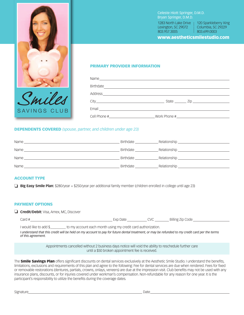

#### Celeste Hiott Springer, D.M.D. Bryan Springer, D.M.D.

1283 North Lake Drive 120 Sparkleberry Xing Lexington, SC 29072 803.957.3005

Columbia, SC 29229 803.699.0003

#### **www.aestheticsmilestudio.com**

### **PRIMARY PROVIDER INFORMATION**

| <b>Birthdate</b>                        |  |
|-----------------------------------------|--|
|                                         |  |
|                                         |  |
| Email <u>__________________________</u> |  |
|                                         |  |

# **DEPENDENTS COVERED** *(spouse, partner, and children under age 23)*

| Name | Birthdate           | Relationship ____                |
|------|---------------------|----------------------------------|
| Name | Birthdate _________ | Relationship ________________    |
| Name | Birthdate           | Relationship ___________________ |
| Name | Birthdate           | Relationship_                    |

### **ACCOUNT TYPE**

**Big Easy Smile Plan:** \$280/year + \$250/year per additional family member (children enrolled in college until age 23)

#### **PAYMENT OPTIONS**

**Credit/Debit:** Visa, Amex, MC, Discover

| Card # | .)atr<br>$\sqrt{2}$<br>$\Lambda$ | $\ddotsc$<br>.,<br>$\mathcal{M}$ | Code<br>Billing<br>$\sqrt{10}$ |
|--------|----------------------------------|----------------------------------|--------------------------------|
|        |                                  |                                  |                                |

I would like to add \$ by account each month using my credit card authorization.

I understand that this credit will be held on my account to pay for future dental treatment, or may be refunded to my credit card per the terms *of this agreement.*

> Appointments cancelled without 2 business days notice will void the ability to reschedule further care until a \$50 broken appointment fee is received.

The **Smile Savings Plan** offers significant discounts on dental services exclusively at the Aesthetic Smile Studio. I understand the benefits, limitations, exclusions and requirements of this plan and agree to the following: Fee for dental services are due when rendered. Fees for fixed or removable restorations (dentures, partials, crowns, onlays, veneers) are due at the impression visit. Club benefits may not be used with any insurance plans, discounts, or for injuries covered under workman's compensation. Non-refundable for any reason for one year. It is the participant's responsibility to utilize the benefits during the coverage dates.